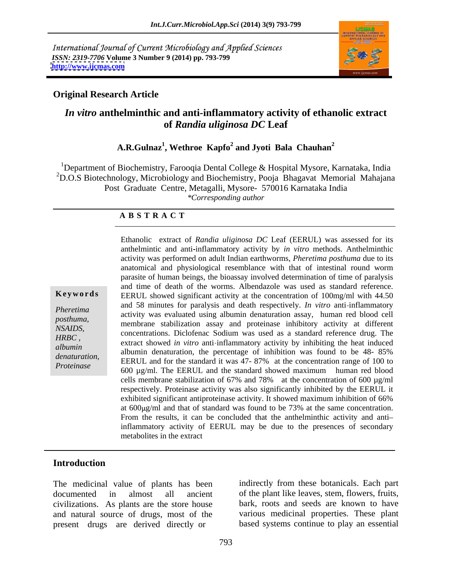International Journal of Current Microbiology and Applied Sciences *ISSN: 2319-7706* **Volume 3 Number 9 (2014) pp. 793-799 <http://www.ijcmas.com>**



### **Original Research Article**

# *In vitro* **anthelminthic and anti-inflammatory activity of ethanolic extract of** *Randia uliginosa DC* **Leaf**

## **A.R.Gulnaz<sup>1</sup> , Wethroe Kapfo<sup>2</sup> and Jyoti Bala Chauhan<sup>2</sup>**

<sup>1</sup>Department of Biochemistry, Farooqia Dental College & Hospital Mysore, Karnataka, India <sup>2</sup>D.O.S Biotechnology, Microbiology and Biochemistry, Pooja Bhagavat Memorial Mahajana Post Graduate Centre, Metagalli, Mysore- 570016 Karnataka India *\*Corresponding author*

#### **A B S T R A C T**

**Keywords** EERUL showed significant activity at the concentration of 100mg/ml with 44.50 *Pheretima* and 30 innuces for paralysis and death respectively. In various and infinite properties activity was evaluated using albumin denaturation assay, human red blood cell posthuma,<br>
membrane stabilization assay and proteinase inhibitory activity at different *NSAIDS,* included the statution assay and procedure inhibitory activity at different concentrations. Diclofenac Sodium was used as a standard reference drug. The entrarct change of the statute of the statute of the statut *albumin*<br>
albumin denaturation, the percentage of inhibition was found to be 48-85% *denaturation,* EERUL and for the standard it was 47- 87% at the concentration range of 100 to Proteings. *Proteinase*<br>
600 µg/ml. The EERUL and the standard showed maximum human red blood Ethanolic extract of *Randia uliginosa DC* Leaf (EERUL) was assessed for its anthelmintic and anti inflammatory activity by *in vitro* methods. Anthelminthic activity was performed on adult Indian earthworms, *Pheretima posthuma* due to its anatomical and physiological resemblance with that of intestinal round worm parasite of human beings, the bioassay involved determination of time of paralysis and time of death of the worms. Albendazole was used as standard reference. and 58 minutes for paralysis and death respectively. *In vitro* anti-inflammatory extract showed *in vitro* anti inflammatory activity by inhibiting the heat induced cells membrane stabilization of 67% and 78% at the concentration of 600 µg/ml respectively. Proteinase activity was also significantly inhibited by the EERUL it exhibited significant antiproteinase activity. It showed maximum inhibition of 66% at  $600\mu\text{g/ml}$  and that of standard was found to be 73% at the same concentration. From the results, it can be concluded that the anthelminthic activity and anti inflammatory activity of EERUL may be due to the presences of secondary metabolites in the extract

## **Introduction**

The medicinal value of plants has been documented in almost all ancient of the plant like leaves, stem, flowers, fruits, civilizations. As plants are the store house and natural source of drugs, most of the present drugs are derived directly or

indirectly from these botanicals. Each part bark, roots and seeds are known to have various medicinal properties. These plant based systems continue to play an essential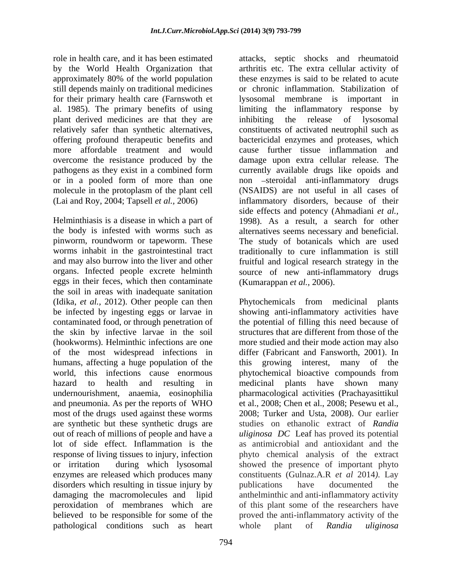approximately 80% of the world population for their primary health care (Farnswoth et plant derived medicines are that they are overcome the resistance produced by the

Helminthiasis is a disease in which a part of 1998). As a result, a search for other the body is infested with worms such as alternatives seems necessary and beneficial. pinworm, roundworm or tapeworm. These The study of botanicals which are used worms inhabit in the gastrointestinal tract traditionally to cure inflammation is still and may also burrow into the liver and other fruitful and logical research strategy in the organs. Infected people excrete helminth source of new anti-inflammatory drugs eggs in their feces, which then contaminate the soil in areas with inadequate sanitation (Idika, *et al.,* 2012). Other people can then Phytochemicals from medicinal plants be infected by ingesting eggs or larvae in showing anti-inflammatory activities have contaminated food, or through penetration of the potential of filling this need because of the skin by infective larvae in the soil structures that are different from those of the (hookworms). Helminthic infections are one more studied and their mode action may also of the most widespread infections in differ (Fabricant and Fansworth, 2001). In humans, affecting a huge population of the this world, this infections cause enormous phytochemical bioactive compounds from hazard to health and resulting in medicinal plants have shown many undernourishment, anaemia, eosinophilia pharmacological activities (Prachayasittikul and pneumonia. As per the reports of WHO et al., 2008; Chen et al., 2008; Pesewu et al., most of the drugs used against these worms are synthetic but these synthetic drugs are out of reach of millions of people and have a *uliginosa DC* Leaf has proved its potential lot of side effect. Inflammation is the as antimicrobial and antioxidant and the response of living tissues to injury, infection phyto chemical analysis of the extract or irritation during which lysosomal showed the presence of important phyto enzymes are released which produces many disorders which resulting in tissue injury by bublications have documented the damaging the macromolecules and lipid peroxidation of membranes which are of this plant some of the researchers have believed to be responsible for some of the proved the anti-inflammatory activity of the pathological conditions such as heart whole plant of Randia uliginosa

role in health care, and it has been estimated attacks, septic shocks and rheumatoid by the World Health Organization that arthritis etc. The extra cellular activity of still depends mainly on traditional medicines or chronic inflammation. Stabilization of al. 1985). The primary benefits of using limiting the inflammatory response by relatively safer than synthetic alternatives, constituents of activated neutrophil such as offering profound therapeutic benefits and bactericidal enzymes and proteases, which more affordable treatment and would cause further tissue inflammation and pathogens as they exist in a combined form currently available drugs like opoids and or in a pooled form of more than one non steroidal anti-inflammatory drugs molecule in the protoplasm of the plant cell (NSAIDS) are not useful in all cases of (Lai and Roy, 2004; Tapsell *et al.,* 2006) inflammatory disorders, because of their these enzymes is said to be related to acute lysosomal membrane is important in the release of lysosomal damage upon extra cellular release. The side effects and potency (Ahmadiani *et al.,* (Kumarappan *et al.,* 2006).

> growing interest, many of the 2008; Turker and Usta, 2008). Our earlier studies on ethanolic extract of *Randia*  constituents (Gulnaz.A.R *et al* 2014*).* Lay publications have documented the anthelminthic and anti-inflammatory activity whole plant of *Randia uliginosa*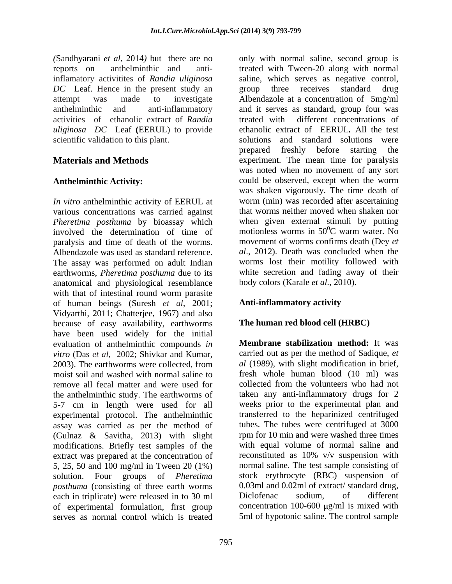*(*Sandhyarani *et al*, 2014*)* but there are no only with normal saline, second group is inflamatory activitites of *Randia uliginosa DC* Leaf. Hence in the present study an group three receives standard drug activities of ethanolic extract of *Randia uliginosa DC* Leaf **(**EERUL) to provide

*In vitro* anthelminthic activity of EERUL at various concentrations was carried against *Pheretima posthuma* by bioassay which involved the determination of time of paralysis and time of death of the worms. Albendazole was used as standard reference. The assay was performed on adult Indian earthworms, *Pheretima posthuma* due to its anatomical and physiological resemblance with that of intestinal round worm parasite of human beings (Suresh *et al*,2001; Vidyarthi, 2011; Chatterjee,1967) and also because of easy availability, earthworms have been used widely for the initial evaluation of anthelminthic compounds *in vitro* (Das *et al,* 2002; Shivkar and Kumar, 2003). The earthworms were collected, from  $al(1989)$ , with slight modification in brief, moist soil and washed with normal saline to remove all fecal matter and were used for the anthelminthic study. The earthworms of 5-7 cm in length were used for all experimental protocol. The anthelminthic assay was carried as per the method of (Gulnaz & Savitha, 2013) with slight modifications. Briefly test samples of the extract was prepared at the concentration of 5, 25, 50 and 100 mg/ml in Tween 20 (1%) solution. Four groups of *Pheretima*  stock erythrocyte (RBC) suspension of *posthuma* (consisting of three earth worms 0.03ml and 0.02ml of extract/standard drug, each in triplicate) were released in to 30 ml Diclofenac sodium, of different each in triplicate) were released in to 30 ml of experimental formulation, first group serves as normal control which is treated 5ml of hypotonic saline. The control sample

reports on anthelminthic and anti-treated with Tween-20 along with normal attempt was made to investigate Albendazole at a concentration of 5mg/ml anthelminthic and anti-inflammatory and it serves as standard, group four was scientific validation to this plant. Solutions and standard solutions were **Materials and Methods** experiment. The mean time for paralysis Anthelminthic Activity: could be observed, except when the worm saline, which serves as negative control, group three receives standard drug treated with different concentrations of ethanolic extract of EERUL*.* All the test prepared freshly before starting the was noted when no movement of any sort could be observed, except when the worm was shaken vigorously. The time death of worm (min) was recorded after ascertaining that worms neither moved when shaken nor when given external stimuli by putting motionless worms in  $50^{\circ}$ C warm water. No  ${}^{0}C$  warm water. No movement of worms confirms death (Dey *et al*., 2012). Death was concluded when the worms lost their motility followed with white secretion and fading away of their body colors (Karale *et al*., 2010).

## **Anti-inflammatory activity**

## **The human red blood cell (HRBC)**

**Membrane stabilization method:** It was carried out as per the method of Sadique, *et al* (1989), with slight modification in brief, fresh whole human blood (10 ml) was collected from the volunteers who had not taken any anti-inflammatory drugs for 2 weeks prior to the experimental plan and transferred to the heparinized centrifuged tubes. The tubes were centrifuged at 3000 rpm for 10 min and were washed three times with equal volume of normal saline and reconstituted as 10% v/v suspension with normal saline. The test sample consisting of 0.03ml and 0.02ml of extract/ standard drug, Diclofenac sodium, of different concentration 100-600  $\mu$ g/ml is mixed with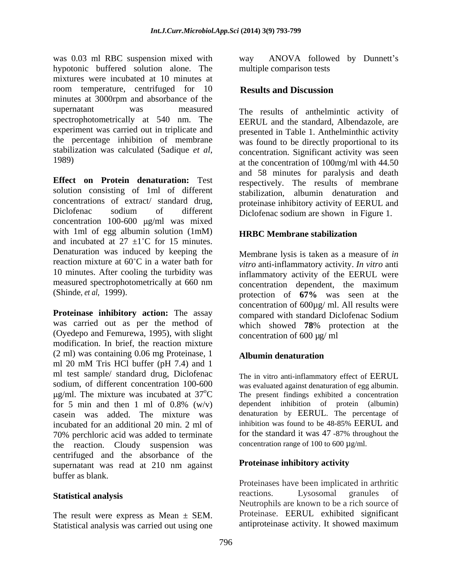was 0.03 ml RBC suspension mixed with way ANOVA followed by Dunnett's hypotonic buffered solution alone. The mixtures were incubated at 10 minutes at room temperature, centrifuged for 10 **Results and Discussion** minutes at 3000rpm and absorbance of the supernatant was measured The results of anthelmintic activity of spectrophotometrically at 540 nm. The experiment was carried out in triplicate and the percentage inhibition of membrane stabilization was calculated (Sadique *et al*,

**Effect on Protein denaturation:** Test respectively. The results of membrane solution consisting of 1ml of different concentrations of extract/ standard drug, proteinase inhibitory activity of EERUL and Diclofenac sodium of different Diclofenac sodium are shown in Figure 1. concentration  $100-600$   $\mu$ g/ml was mixed with 1ml of egg albumin solution (1mM) HRBC Membrane stabilization and incubated at  $27 \pm 1^{\circ}$ C for 15 minutes. Denaturation was induced by keeping the reaction mixture at 60<sup>°</sup>C in a water bath for *vitro* anti-inflammatory activity. *In vitro* anti 10 minutes. After cooling the turbidity was measured spectrophotometrically at 660 nm

**Proteinase inhibitory action:** The assay compared with standard Diclofenac Sodium was carried out as per the method of which showed 78% protection at the (Oyedepo and Femurewa, 1995), with slight modification. In brief, the reaction mixture (2 ml) was containing 0.06 mg Proteinase, 1 ml 20 mM Tris HCl buffer (pH 7.4) and 1 ml test sample/ standard drug, Diclofenac sodium, of different concentration 100-600 was evaluated against denaturation of egg albumin. for 5 min and then 1 ml of  $0.8\%$  (w/v) casein was added. The mixture was incubated for an additional 20 min. 2 ml of inhibition was found to be 48-85% EERUL and 70% perchloric acid was added to terminate for the standard it was 47-87% throughout the 70% perchloric acid was added to terminate the reaction. Cloudy suspension was centrifuged and the absorbance of the supernatant was read at 210 nm against buffer as blank.

The result were express as Mean  $\pm$  SEM. Statistical analysis was carried out using one way ANOVA followed by Dunnett's multiple comparison tests

## **Results and Discussion**

1989) at the concentration of 100mg/ml with 44.50 EERUL and the standard, Albendazole, are presented in Table 1. Anthelminthic activity was found to be directly proportional to its concentration. Significant activity was seen and 58 minutes for paralysis and death stabilization, albumin denaturation and

## **HRBC Membrane stabilization**

(Shinde, *et al,* 1999). protection of **67%** was seen at the Membrane lysis is taken as a measure of *in*  inflammatory activity of the EERUL were concentration dependent, the maximum concentration of 600µg/ ml. All results were which showed **78**% protection at the concentration of 600 µg/ ml

## **Albumin denaturation**

g/ml. The mixture was incubated at  $37^{\circ}$ C The present findings exhibited a concentration The in vitro anti-inflammatory effect of EERUL dependent inhibition of protein (albumin) denaturation by EERUL. The percentage of inhibition was found to be 48-85% EERUL and for the standard it was 47 -87% throughout the concentration range of 100 to 600  $\mu$ g/ml.

#### **Proteinase inhibitory activity**

Statistical analysis **Statistical analysis Exactions**. Lysosomal granules of Proteinases have been implicated in arthritic reactions. Lysosomal granules of Neutrophils are known to be a rich source of Proteinase. EERUL exhibited significant antiproteinase activity. It showed maximum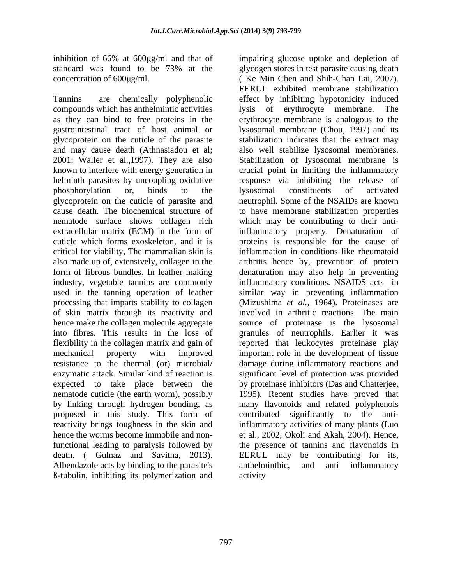compounds which has anthelmintic activities lysis of erythrocyte membrane. The glycoprotein on the cuticle of the parasite critical for viability, The mammalian skin is processing that imparts stability to collagen of skin matrix through its reactivity and by linking through hydrogen bonding, as hence the worms become immobile and nondeath. ( Gulnaz and Savitha, 2013). Albendazole acts by binding to the parasite's anthelministic, and anti inflammatory ß-tubulin, inhibiting its polymerization and

inhibition of 66% at 600µg/ml and that of impairing glucose uptake and depletion of standard was found to be 73% at the glycogen stores in test parasite causing death concentration of 600µg/ml. (Ke Min Chen and Shih-Chan Lai, 2007). Tannins are chemically polyphenolic effect by inhibiting hypotonicity induced as they can bind to free proteins in the erythrocyte membrane is analogous to the gastrointestinal tract of host animal or lysosomal membrane (Chou, 1997) and its and may cause death (Athnasiadou et al; also well stabilize lysosomal membranes. 2001; Waller et al.,1997). They are also Stabilization of lysosomal membrane is known to interfere with energy generation in crucial point in limiting the inflammatory helminth parasites by uncoupling oxidative response via inhibiting the release of phosphorylation or, binds to the glycoprotein on the cuticle of parasite and neutrophil. Some of the NSAIDs are known cause death. The biochemical structure of to have membrane stabilization properties nematode surface shows collagen rich which may be contributing to their antiextracellular matrix (ECM) in the form of inflammatory property. Denaturation of cuticle which forms exoskeleton, and it is proteins is responsible for the cause of also made up of, extensively, collagen in the arthritis hence by, prevention of protein form of fibrous bundles. In leather making denaturation may also help in preventing industry, vegetable tannins are commonly inflammatory conditions. NSAIDS acts in used in the tanning operation of leather similar way in preventing inflammation hence make the collagen molecule aggregate source of proteinase is the lysosomal into fibres. This results in the loss of granules of neutrophils. Earlier it was flexibility in the collagen matrix and gain of reported that leukocytes proteinase play mechanical property with improved important role in the development of tissue resistance to the thermal (or) microbial/ damage during inflammatory reactions and enzymatic attack. Similar kind of reaction is significant level of protection was provided expected to take place between the by proteinase inhibitors (Das and Chatterjee, nematode cuticle (the earth worm), possibly 1995). Recent studies have proved that proposed in this study. This form of contributed significantly to the antireactivity brings toughness in the skin and inflammatory activities of many plants (Luo functional leading to paralysis followed by the presence of tannins and flavonoids in EERUL exhibited membrane stabilization lysis of erythrocyte membrane. stabilization indicates that the extract may lysosomal constituents of activated inflammation in conditions like rheumatoid (Mizushima *et al.,* 1964). Proteinases are involved in arthritic reactions. The main many flavonoids and related polyphenols et al., 2002; Okoli and Akah, 2004). Hence, EERUL may be contributing for its, anthelminthic, and anti inflammatory activity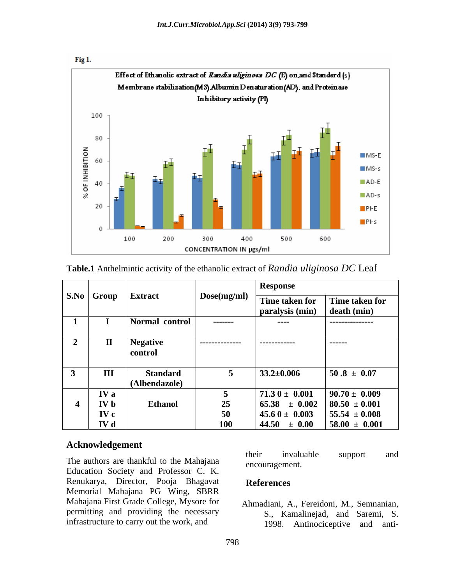

**Table.1** Anthelmintic activity of the ethanolic extract of *Randia uliginosa DC* Leaf

|               | S.No Group   | <b>Extract</b>                   | Dose(mg/ml)    | <b>Response</b>                       |                                        |
|---------------|--------------|----------------------------------|----------------|---------------------------------------|----------------------------------------|
|               |              |                                  |                | Time taken for<br>paralysis (min)     | Time taken for<br>death (min)          |
|               |              | Normal control                   | -------        | ----                                  | ----------------                       |
| $\rightarrow$ | $\mathbf{I}$ | <b>Negative</b><br>control       | -------------- | ------------                          | -------                                |
|               | Ш            | <b>Standard</b><br>(Albendazole) |                | $33.2 \pm 0.006$                      | $50.8 \pm 0.07$                        |
|               | IV a         |                                  |                | $71.30 \pm 0.001$                     | $90.70 \pm 0.009$                      |
|               | <b>IV</b> b  | <b>Ethanol</b>                   | 25             | $65.38 \pm 0.002$                     | $80.50 \pm 0.001$                      |
|               | IV c<br>IV d |                                  | 50<br>100      | $45.60 \pm 0.003$<br>$44.50 \pm 0.00$ | $55.54 \pm 0.008$<br>$58.00 \pm 0.001$ |

#### **Acknowledgement**

Education Society and Professor C. K. Renukarya, Director, Pooja Bhagavat References Memorial Mahajana PG Wing, SBRR Mahajana First Grade College, Mysore for permitting and providing the necessary infrastructure to carry out the work, and  $1998$ .

The authors are thankful to the Mahajana their invaluable support and the measurement their invaluable support and encouragement.

#### **References**

Ahmadiani, A., Fereidoni, M., Semnanian, S., Kamalinejad, and Saremi, S. Antinociceptive and anti-